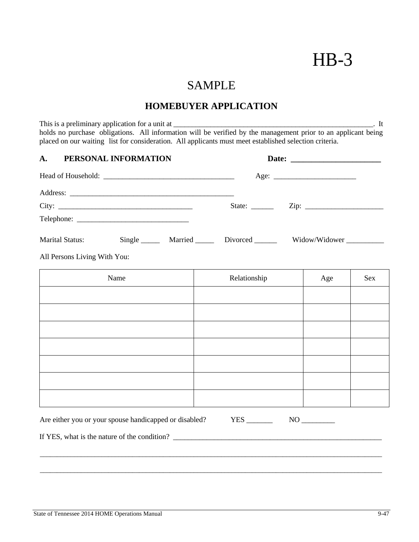# HB-3

# SAMPLE

# **HOMEBUYER APPLICATION**

This is a preliminary application for a unit at \_\_\_\_\_\_\_\_\_\_\_\_\_\_\_\_\_\_\_\_\_\_\_\_\_\_\_\_\_\_\_\_\_\_\_\_\_\_\_\_\_\_\_\_\_\_\_\_\_\_\_\_\_\_. It holds no purchase obligations. All information will be verified by the management prior to an applicant being placed on our waiting list for consideration. All applicants must meet established selection criteria.

| PERSONAL INFORMATION<br>A.                             |                                                |               |
|--------------------------------------------------------|------------------------------------------------|---------------|
|                                                        |                                                |               |
|                                                        |                                                |               |
| City:                                                  |                                                |               |
|                                                        |                                                |               |
| Marital Status:                                        | Single _______ Married _______ Divorced ______ | Widow/Widower |
| All Persons Living With You:                           |                                                |               |
| Name                                                   | Relationship                                   | Age<br>Sex    |
|                                                        |                                                |               |
|                                                        |                                                |               |
|                                                        |                                                |               |
|                                                        |                                                |               |
|                                                        |                                                |               |
|                                                        |                                                |               |
|                                                        |                                                |               |
| Are either you or your spouse handicapped or disabled? |                                                |               |
|                                                        |                                                |               |

\_\_\_\_\_\_\_\_\_\_\_\_\_\_\_\_\_\_\_\_\_\_\_\_\_\_\_\_\_\_\_\_\_\_\_\_\_\_\_\_\_\_\_\_\_\_\_\_\_\_\_\_\_\_\_\_\_\_\_\_\_\_\_\_\_\_\_\_\_\_\_\_\_\_\_\_\_\_\_\_\_\_\_\_\_\_\_\_\_\_\_\_\_\_\_\_\_\_\_\_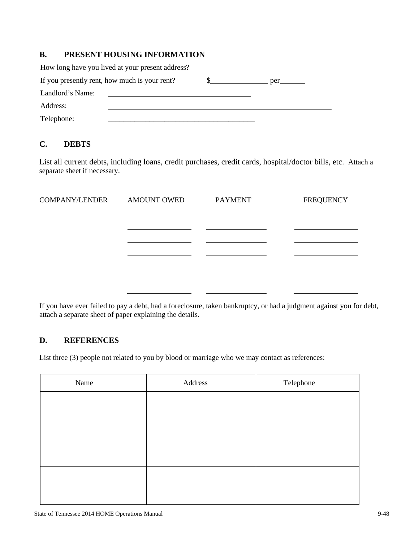# **B. PRESENT HOUSING INFORMATION**

| How long have you lived at your present address? |  |     |
|--------------------------------------------------|--|-----|
| If you presently rent, how much is your rent?    |  | per |
| Landlord's Name:                                 |  |     |
| Address:                                         |  |     |
| Telephone:                                       |  |     |

# **C. DEBTS**

List all current debts, including loans, credit purchases, credit cards, hospital/doctor bills, etc. Attach a separate sheet if necessary.

| <b>COMPANY/LENDER</b> | <b>AMOUNT OWED</b> | <b>PAYMENT</b> | <b>FREQUENCY</b> |
|-----------------------|--------------------|----------------|------------------|
|                       |                    |                |                  |
|                       |                    |                |                  |
|                       |                    |                |                  |
|                       |                    |                |                  |
|                       |                    |                |                  |

If you have ever failed to pay a debt, had a foreclosure, taken bankruptcy, or had a judgment against you for debt, attach a separate sheet of paper explaining the details.

## **D. REFERENCES**

List three (3) people not related to you by blood or marriage who we may contact as references:

| Name | Address | Telephone |
|------|---------|-----------|
|      |         |           |
|      |         |           |
|      |         |           |
|      |         |           |
|      |         |           |
|      |         |           |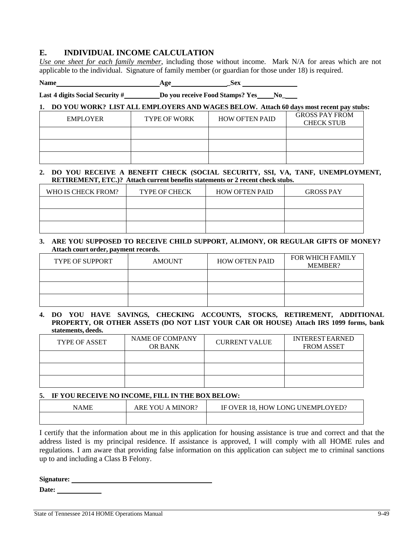## **E. INDIVIDUAL INCOME CALCULATION**

*Use one sheet for each family member*, including those without income. Mark N/A for areas which are not applicable to the individual. Signature of family member (or guardian for those under 18) is required.

Name Age Sex Sex

**Last 4 digits Social Security # Do you receive Food Stamps? Yes No\_**

#### **1. DO YOU WORK? LIST ALL EMPLOYERS AND WAGES BELOW. Attach 60 days most recent pay stubs:**

| EMPLOYER | <b>TYPE OF WORK</b> | <b>HOW OFTEN PAID</b> | <b>GROSS PAY FROM</b><br><b>CHECK STUB</b> |
|----------|---------------------|-----------------------|--------------------------------------------|
|          |                     |                       |                                            |
|          |                     |                       |                                            |
|          |                     |                       |                                            |

#### **2. DO YOU RECEIVE A BENEFIT CHECK (SOCIAL SECURITY, SSI, VA, TANF, UNEMPLOYMENT, RETIREMENT, ETC.)? Attach current benefits statements or 2 recent check stubs.**

| WHO IS CHECK FROM? | <b>TYPE OF CHECK</b> | <b>HOW OFTEN PAID</b> | <b>GROSS PAY</b> |
|--------------------|----------------------|-----------------------|------------------|
|                    |                      |                       |                  |
|                    |                      |                       |                  |
|                    |                      |                       |                  |

#### **3. ARE YOU SUPPOSED TO RECEIVE CHILD SUPPORT, ALIMONY, OR REGULAR GIFTS OF MONEY? Attach court order, payment records.**

| <b>TYPE OF SUPPORT</b> | <b>AMOUNT</b> | <b>HOW OFTEN PAID</b> | <b>FOR WHICH FAMILY</b><br><b>MEMBER?</b> |
|------------------------|---------------|-----------------------|-------------------------------------------|
|                        |               |                       |                                           |
|                        |               |                       |                                           |
|                        |               |                       |                                           |

#### **4. DO YOU HAVE SAVINGS, CHECKING ACCOUNTS, STOCKS, RETIREMENT, ADDITIONAL PROPERTY, OR OTHER ASSETS (DO NOT LIST YOUR CAR OR HOUSE) Attach IRS 1099 forms, bank statements, deeds.**

| <b>TYPE OF ASSET</b> | <b>NAME OF COMPANY</b><br><b>OR BANK</b> | <b>CURRENT VALUE</b> | <b>INTEREST EARNED</b><br>FROM ASSET |
|----------------------|------------------------------------------|----------------------|--------------------------------------|
|                      |                                          |                      |                                      |
|                      |                                          |                      |                                      |
|                      |                                          |                      |                                      |

#### **5. IF YOU RECEIVE NO INCOME, FILL IN THE BOX BELOW:**

| NAME | . MINOR?<br>ARE YOU<br>$\mathbf{A}$ | IF OVER 18. HOW LONG UNEMPLOYED? |
|------|-------------------------------------|----------------------------------|
|      |                                     |                                  |

I certify that the information about me in this application for housing assistance is true and correct and that the address listed is my principal residence. If assistance is approved, I will comply with all HOME rules and regulations. I am aware that providing false information on this application can subject me to criminal sanctions up to and including a Class B Felony.

**Signature:** 

**Date:**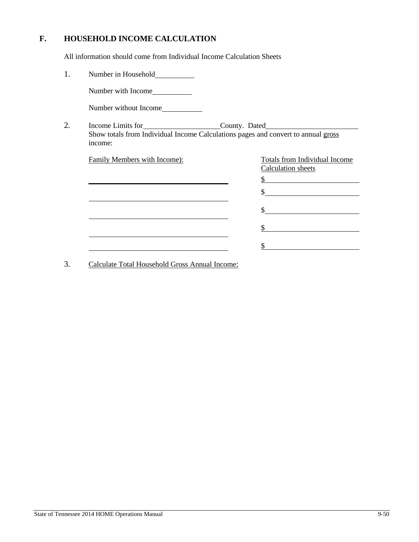# **F. HOUSEHOLD INCOME CALCULATION**

All information should come from Individual Income Calculation Sheets

| 1. | Number in Household                                                                          |                                                                             |
|----|----------------------------------------------------------------------------------------------|-----------------------------------------------------------------------------|
|    | Number with Income                                                                           |                                                                             |
|    | Number without Income                                                                        |                                                                             |
| 2. | Show totals from Individual Income Calculations pages and convert to annual gross<br>income: | Income Limits for County. Dated                                             |
|    | Family Members with Income):                                                                 | Totals from Individual Income<br>Calculation sheets<br>$\frac{1}{2}$<br>\$. |
|    |                                                                                              |                                                                             |

3. Calculate Total Household Gross Annual Income: